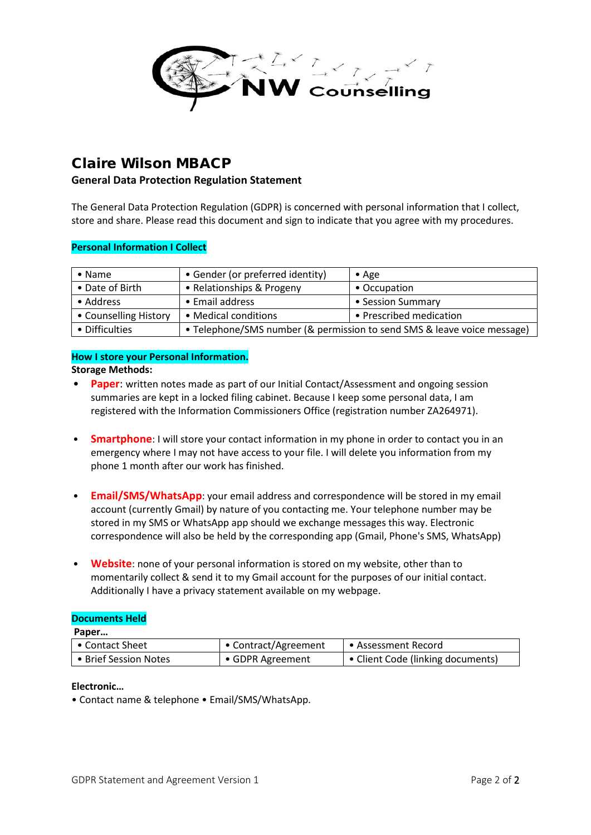

# Claire Wilson MBACP

## **General Data Protection Regulation Statement**

The General Data Protection Regulation (GDPR) is concerned with personal information that I collect, store and share. Please read this document and sign to indicate that you agree with my procedures.

#### **Personal Information I Collect**

| $\bullet$ Name        | • Gender (or preferred identity)                                        | $\bullet$ Age           |
|-----------------------|-------------------------------------------------------------------------|-------------------------|
| • Date of Birth       | • Relationships & Progeny                                               | • Occupation            |
| • Address             | • Email address                                                         | • Session Summary       |
| • Counselling History | • Medical conditions                                                    | • Prescribed medication |
| • Difficulties        | • Telephone/SMS number (& permission to send SMS & leave voice message) |                         |

#### **How I store your Personal Information. Storage Methods:**

- **Paper**: written notes made as part of our Initial Contact/Assessment and ongoing session summaries are kept in a locked filing cabinet. Because I keep some personal data, I am registered with the Information Commissioners Office (registration number ZA264971).
- **Smartphone**: I will store your contact information in my phone in order to contact you in an emergency where I may not have access to your file. I will delete you information from my phone 1 month after our work has finished.
- **Email/SMS/WhatsApp**: your email address and correspondence will be stored in my email account (currently Gmail) by nature of you contacting me. Your telephone number may be stored in my SMS or WhatsApp app should we exchange messages this way. Electronic correspondence will also be held by the corresponding app (Gmail, Phone's SMS, WhatsApp)
- **Website**: none of your personal information is stored on my website, other than to momentarily collect & send it to my Gmail account for the purposes of our initial contact. Additionally I have a privacy statement available on my webpage.

#### **Documents Held**

**Paper…**

| • Contact Sheet       | • Contract/Agreement | l • Assessment Record               |
|-----------------------|----------------------|-------------------------------------|
| • Brief Session Notes | • GDPR Agreement     | │ • Client Code (linking documents) |

## **Electronic…**

• Contact name & telephone • Email/SMS/WhatsApp.